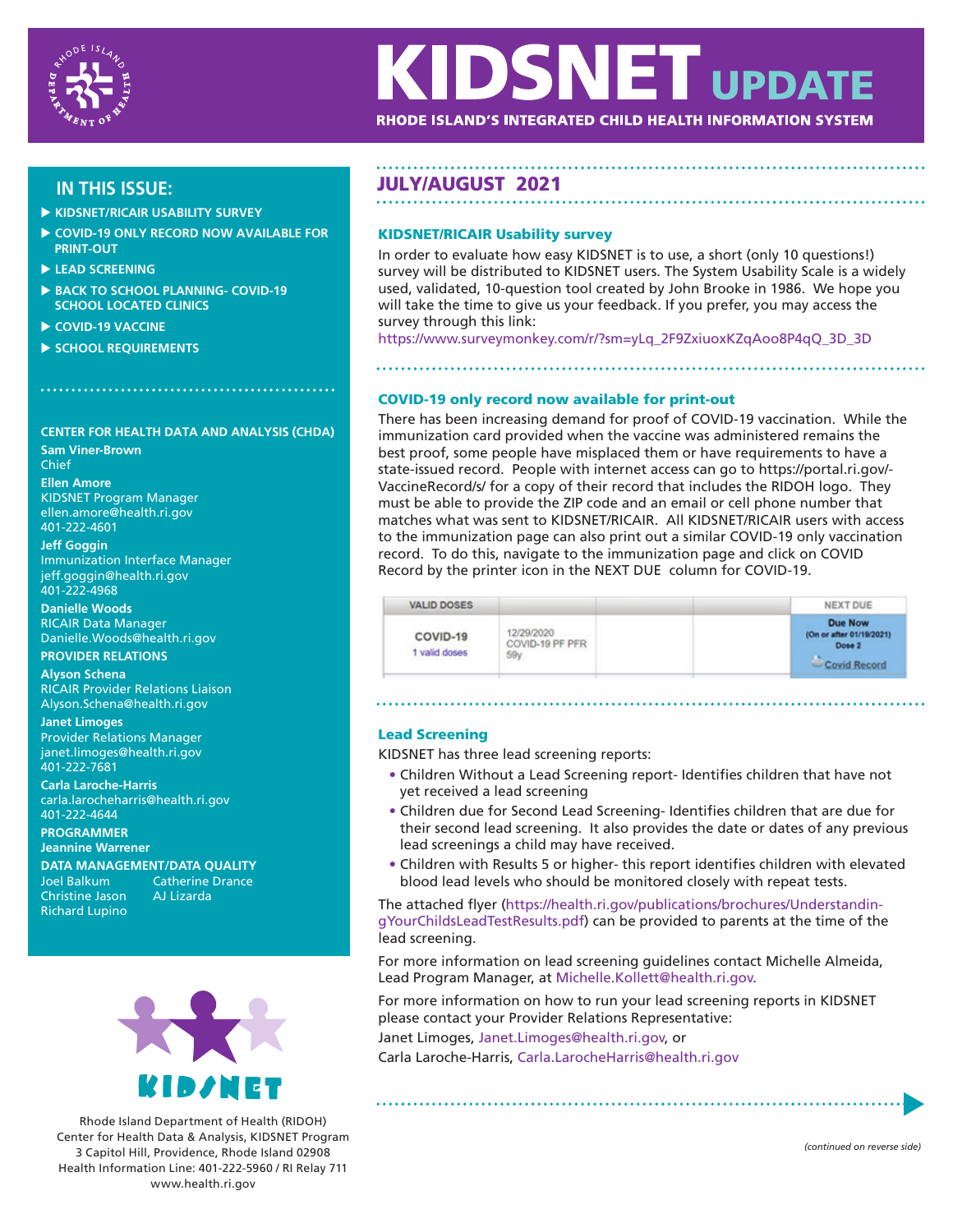

# **KIDSNET UPDATE** RHODE ISLAND'S INTEGRATED CHILD HEALTH INFORMATION SYSTEM

- **KIDSNET/RICAIR USABILITY SURVEY**
- **COVID-19 ONLY RECORD NOW AVAILABLE FOR PRINT-OUT**
- **LEAD SCREENING**
- **BACK TO SCHOOL PLANNING- COVID-19 SCHOOL LOCATED CLINICS**
- **COVID-19 VACCINE**
- **SCHOOL REQUIREMENTS**

#### **CENTER FOR HEALTH DATA AND ANALYSIS (CHDA)**

**Sam Viner-Brown** Chief

**Ellen Amore** KIDSNET Program Manager ellen.amore@health.ri.gov 401-222-4601

#### **Jeff Goggin**

Immunization Interface Manager jeff.goggin@health.ri.gov 401-222-4968

**Danielle Woods**  RICAIR Data Manager Danielle.Woods@health.ri.gov

#### **PROVIDER RELATIONS**

**Alyson Schena** RICAIR Provider Relations Liaison Alyson.Schena@health.ri.gov

**Janet Limoges** Provider Relations Manager janet.limoges@health.ri.gov 401-222-7681

**Carla Laroche-Harris** carla.larocheharris@health.ri.gov 401-222-4644

### **PROGRAMMER**

**Jeannine Warrener**

Christine Jason Richard Lupino

**DATA MANAGEMENT/DATA QUALITY Catherine Drance**<br>AJ Lizarda



Rhode Island Department of Health (RIDOH) Center for Health Data & Analysis, KIDSNET Program 3 Capitol Hill, Providence, Rhode Island 02908 Health Information Line: 401-222-5960 / RI Relay 711 www.health.ri.gov

## **IN THIS ISSUE:** JULY/AUGUST 2021

#### KIDSNET/RICAIR Usability survey

In order to evaluate how easy KIDSNET is to use, a short (only 10 questions!) survey will be distributed to KIDSNET users. The System Usability Scale is a widely used, validated, 10-question tool created by John Brooke in 1986. We hope you will take the time to give us your feedback. If you prefer, you may access the survey through this link:

https://www.surveymonkey.com/r/?sm=yLq\_2F9ZxiuoxKZqAoo8P4qQ\_3D\_3D

#### COVID-19 only record now available for print-out

There has been increasing demand for proof of COVID-19 vaccination. While the immunization card provided when the vaccine was administered remains the best proof, some people have misplaced them or have requirements to have a state-issued record. People with internet access can go to https://portal.ri.gov/- VaccineRecord/s/ for a copy of their record that includes the RIDOH logo. They must be able to provide the ZIP code and an email or cell phone number that matches what was sent to KIDSNET/RICAIR. All KIDSNET/RICAIR users with access to the immunization page can also print out a similar COVID-19 only vaccination record. To do this, navigate to the immunization page and click on COVID Record by the printer icon in the NEXT DUE column for COVID-19.

| <b>VALID DOSES</b>        |                               | NEXT DUE                                      |
|---------------------------|-------------------------------|-----------------------------------------------|
| COVID-19<br>1 valid doses | 12/29/2020<br>COVID-19 PF PFR | Due Now<br>(On or after 01/19/2021)<br>Dose 2 |
|                           | 59y                           | <b>Covid Record</b>                           |

#### Lead Screening

KIDSNET has three lead screening reports:

- Children Without a Lead Screening report- Identifies children that have not yet received a lead screening
- Children due for Second Lead Screening- Identifies children that are due for their second lead screening. It also provides the date or dates of any previous lead screenings a child may have received.
- Children with Results 5 or higher- this report identifies children with elevated blood lead levels who should be monitored closely with repeat tests.

The attached flyer (https://health.ri.gov/publications/brochures/UnderstandingYourChildsLeadTestResults.pdf) can be provided to parents at the time of the lead screening.

For more information on lead screening guidelines contact Michelle Almeida, Lead Program Manager, at Michelle.Kollett@health.ri.gov.

For more information on how to run your lead screening reports in KIDSNET please contact your Provider Relations Representative:

Janet Limoges, Janet.Limoges@health.ri.gov, or

Carla Laroche-Harris, Carla.LarocheHarris@health.ri.gov